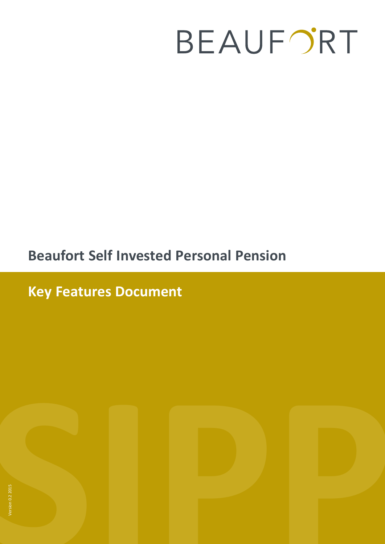# BEAUFORT

# **Beaufort Self Invested Personal Pension**

**Key Features Document** 



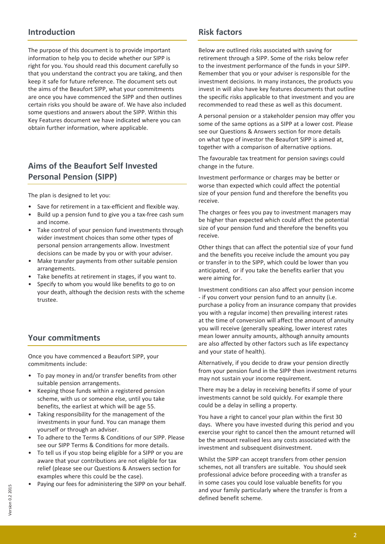#### **Introduction**

The purpose of this document is to provide important information to help you to decide whether our SIPP is right for you. You should read this document carefully so that you understand the contract you are taking, and then keep it safe for future reference. The document sets out the aims of the Beaufort SIPP, what your commitments are once you have commenced the SIPP and then outlines certain risks you should be aware of. We have also included some questions and answers about the SIPP. Within this Key Features document we have indicated where you can obtain further information, where applicable.

# **Aims of the Beaufort Self Invested Personal Pension (SIPP)**

The plan is designed to let you:

- Save for retirement in a tax-efficient and flexible way.
- Build up a pension fund to give you a tax-free cash sum and income.
- Take control of your pension fund investments through wider investment choices than some other types of personal pension arrangements allow. Investment decisions can be made by you or with your adviser.
- Make transfer payments from other suitable pension arrangements.
- Take benefits at retirement in stages, if you want to.
- Specify to whom you would like benefits to go to on your death, although the decision rests with the scheme trustee.

#### **Your commitments**

Once you have commenced a Beaufort SIPP, your commitments include:

- To pay money in and/or transfer benefits from other suitable pension arrangements.
- Keeping those funds within a registered pension scheme, with us or someone else, until you take benefits, the earliest at which will be age 55.
- Taking responsibility for the management of the investments in your fund. You can manage them yourself or through an adviser.
- To adhere to the Terms & Conditions of our SIPP. Please see our SIPP Terms & Conditions for more details.
- To tell us if you stop being eligible for a SIPP or you are aware that your contributions are not eligible for tax relief (please see our Questions & Answers section for examples where this could be the case).
- Paying our fees for administering the SIPP on your behalf.

#### **Risk factors**

Below are outlined risks associated with saving for retirement through a SIPP. Some of the risks below refer to the investment performance of the funds in your SIPP. Remember that you or your adviser is responsible for the investment decisions. In many instances, the products you invest in will also have key features documents that outline the specific risks applicable to that investment and you are recommended to read these as well as this document.

A personal pension or a stakeholder pension may offer you some of the same options as a SIPP at a lower cost. Please see our Questions & Answers section for more details on what type of investor the Beaufort SIPP is aimed at, together with a comparison of alternative options.

The favourable tax treatment for pension savings could change in the future.

Investment performance or charges may be better or worse than expected which could affect the potential size of your pension fund and therefore the benefits you receive.

The charges or fees you pay to investment managers may be higher than expected which could affect the potential size of your pension fund and therefore the benefits you receive.

Other things that can affect the potential size of your fund and the benefits you receive include the amount you pay or transfer in to the SIPP, which could be lower than you anticipated, or if you take the benefits earlier that you were aiming for.

Investment conditions can also affect your pension income - if you convert your pension fund to an annuity (i.e. purchase a policy from an insurance company that provides you with a regular income) then prevailing interest rates at the time of conversion will affect the amount of annuity you will receive (generally speaking, lower interest rates mean lower annuity amounts, although annuity amounts are also affected by other factors such as life expectancy and your state of health).

Alternatively, if you decide to draw your pension directly from your pension fund in the SIPP then investment returns may not sustain your income requirement.

There may be a delay in receiving benefits if some of your investments cannot be sold quickly. For example there could be a delay in selling a property.

You have a right to cancel your plan within the first 30 days. Where you have invested during this period and you exercise your right to cancel then the amount returned will be the amount realised less any costs associated with the investment and subsequent disinvestment.

Whilst the SIPP can accept transfers from other pension schemes, not all transfers are suitable. You should seek professional advice before proceeding with a transfer as in some cases you could lose valuable benefits for you and your family particularly where the transfer is from a defined benefit scheme.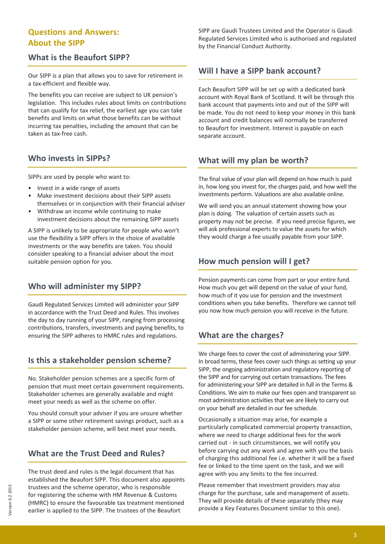#### **Questions and Answers: About the SIPP**

#### **What is the Beaufort SIPP?**

Our SIPP is a plan that allows you to save for retirement in a tax-efficient and flexible way.

The benefits you can receive are subject to UK pension's legislation. This includes rules about limits on contributions that can qualify for tax relief, the earliest age you can take benefits and limits on what those benefits can be without incurring tax penalties, including the amount that can be taken as tax-free cash.

#### **Who invests in SIPPs?**

SIPPs are used by people who want to:

- Invest in a wide range of assets
- Make investment decisions about their SIPP assets themselves or in conjunction with their financial adviser
- Withdraw an income while continuing to make investment decisions about the remaining SIPP assets

A SIPP is unlikely to be appropriate for people who won't use the flexibility a SIPP offers in the choice of available investments or the way benefits are taken. You should consider speaking to a financial adviser about the most suitable pension option for you.

### **Who will administer my SIPP?**

Gaudi Regulated Services Limited will administer your SIPP in accordance with the Trust Deed and Rules. This involves the day to day running of your SIPP, ranging from processing contributions, transfers, investments and paying benefits, to ensuring the SIPP adheres to HMRC rules and regulations.

#### **Is this a stakeholder pension scheme?**

No. Stakeholder pension schemes are a specific form of pension that must meet certain government requirements. Stakeholder schemes are generally available and might meet your needs as well as the scheme on offer.

You should consult your adviser if you are unsure whether a SIPP or some other retirement savings product, such as a stakeholder pension scheme, will best meet your needs.

### **What are the Trust Deed and Rules?**

The trust deed and rules is the legal document that has established the Beaufort SIPP. This document also appoints trustees and the scheme operator, who is responsible for registering the scheme with HM Revenue & Customs (HMRC) to ensure the favourable tax treatment mentioned earlier is applied to the SIPP. The trustees of the Beaufort

SIPP are Gaudi Trustees Limited and the Operator is Gaudi Regulated Services Limited who is authorised and regulated by the Financial Conduct Authority.

### **Will I have a SIPP bank account?**

Each Beaufort SIPP will be set up with a dedicated bank account with Royal Bank of Scotland. It will be through this bank account that payments into and out of the SIPP will be made. You do not need to keep your money in this bank account and credit balances will normally be transferred to Beaufort for investment. Interest is payable on each separate account.

### **What will my plan be worth?**

The final value of your plan will depend on how much is paid in, how long you invest for, the charges paid, and how well the investments perform. Valuations are also available online.

We will send you an annual statement showing how your plan is doing. The valuation of certain assets such as property may not be precise. If you need precise figures, we will ask professional experts to value the assets for which they would charge a fee usually payable from your SIPP.

#### **How much pension will I get?**

Pension payments can come from part or your entire fund. How much you get will depend on the value of your fund, how much of it you use for pension and the investment conditions when you take benefits. Therefore we cannot tell you now how much pension you will receive in the future.

### **What are the charges?**

We charge fees to cover the cost of administering your SIPP. In broad terms, these fees cover such things as setting up your SIPP, the ongoing administration and regulatory reporting of the SIPP and for carrying out certain transactions. The fees for administering your SIPP are detailed in full in the Terms & Conditions. We aim to make our fees open and transparent so most administration activities that we are likely to carry out on your behalf are detailed in our fee schedule.

Occasionally a situation may arise, for example a particularly complicated commercial property transaction, where we need to charge additional fees for the work carried out - in such circumstances, we will notify you before carrying out any work and agree with you the basis of charging this additional fee i.e. whether it will be a fixed fee or linked to the time spent on the task, and we will agree with you any limits to the fee incurred.

Please remember that investment providers may also charge for the purchase, sale and management of assets. They will provide details of these separately (they may provide a Key Features Document similar to this one).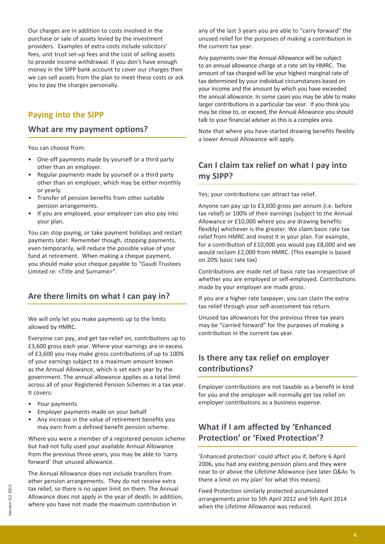Our charges are in addition to costs involved in the purchase or sale of assets levied by the investment providers. Examples of extra costs include solicitors' fees, unit trust set-up fees and the cost of selling assets to provide income withdrawal. If you don't have enough money in the SIPP bank account to cover our charges then we can sell assets from the plan to meet these costs or ask you to pay the charges personally.

#### **Paying into the SIPP**

#### **What are my payment options?**

You can choose from:

- One-off payments made by yourself or a third party other than an employer.
- Regular payments made by yourself or a third party other than an employer, which may be either monthly or yearly.
- Transfer of pension benefits from other suitable pension arrangements.
- If you are employed, your employer can also pay into your plan.

You can stop paying, or take payment holidays and restart payments later. Remember though, stopping payments, even temporarily, will reduce the possible value of your fund at retirement. When making a cheque payment, you should make your cheque payable to "Gaudi Trustees Limited re: <Title and Surname>".

### **Are there limits on what I can pay in?**

We will only let you make payments up to the limits allowed by HMRC.

Everyone can pay, and get tax-relief on, contributions up to £3,600 gross each year. Where your earnings are in excess of £3,600 you may make gross contributions of up to 100% of your earnings subject to a maximum amount known as the Annual Allowance, which is set each year by the government. The annual allowance applies as a total limit across all of your Registered Pension Schemes in a tax year. It covers:

- Your payments
- Employer payments made on your behalf
- Any increase in the value of retirement benefits you may earn from a defined benefit pension scheme.

Where you were a member of a registered pension scheme but had not fully used your available Annual Allowance from the previous three years, you may be able to 'carry forward' that unused allowance.

The Annual Allowance does not include transfers from other pension arrangements. They do not receive extra tax relief, so there is no upper limit on them. The Annual Allowance does not apply in the year of death. In addition, where you have not made the maximum contribution in

any of the last 3 years you are able to "carry forward" the unused relief for the purposes of making a contribution in the current tax year.

Any payments over the Annual Allowance will be subject to an annual allowance charge at a rate set by HMRC. The amount of tax charged will be your highest marginal rate of tax determined by your individual circumstances based on your income and the amount by which you have exceeded the annual allowance. In some cases you may be able to make larger contributions in a particular tax year. If you think you may be close to, or exceed, the Annual Allowance you should talk to your financial adviser as this is a complex area.

Note that where you have started drawing benefits flexibly a lower Annual Allowance will apply.

# **Can I claim tax relief on what I pay into my SIPP?**

Yes; your contributions can attract tax relief.

Anyone can pay up to £3,600 gross per annum (i.e. before tax relief) or 100% of their earnings (subject to the Annual Allowance or £10,000 where you are drawing benefits flexibly) whichever is the greater. We claim basic rate tax relief from HMRC and invest it in your plan. For example, for a contribution of £10,000 you would pay £8,000 and we would reclaim £2,000 from HMRC. (This example is based on 20% basic rate tax)

Contributions are made net of basic rate tax irrespective of whether you are employed or self-employed. Contributions made by your employer are made gross.

If you are a higher rate taxpayer, you can claim the extra tax relief through your self-assessment tax return.

Unused tax allowances for the previous three tax years may be "carried forward" for the purposes of making a contribution in the current tax year.

### **Is there any tax relief on employer contributions?**

Employer contributions are not taxable as a benefit in kind for you and the employer will normally get tax relief on employer contributions as a business expense.

# **What if I am affected by 'Enhanced Protection' or 'Fixed Protection'?**

'Enhanced protection' could affect you if, before 6 April 2006, you had any existing pension plans and they were near to or above the Lifetime Allowance (see later Q&As 'Is there a limit on my plan' for what this means).

Fixed Protection similarly protected accumulated arrangements prior to 5th April 2012 and 5th April 2014 when the Lifetime Allowance was reduced.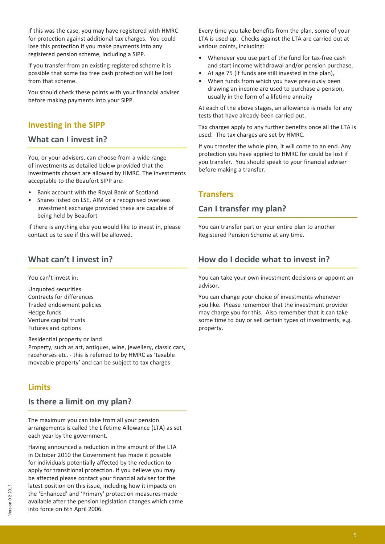If this was the case, you may have registered with HMRC for protection against additional tax charges. You could lose this protection if you make payments into any registered pension scheme, including a SIPP.

If you transfer from an existing registered scheme it is possible that some tax free cash protection will be lost from that scheme.

You should check these points with your financial adviser before making payments into your SIPP.

#### **Investing in the SIPP**

#### **What can I invest in?**

You, or your advisers, can choose from a wide range of investments as detailed below provided that the investments chosen are allowed by HMRC. The investments acceptable to the Beaufort SIPP are:

- Bank account with the Royal Bank of Scotland
- Shares listed on LSE, AIM or a recognised overseas investment exchange provided these are capable of being held by Beaufort

If there is anything else you would like to invest in, please contact us to see if this will be allowed.

#### **What can't I invest in?**

You can't invest in:

Unquoted securities Contracts for differences Traded endowment policies Hedge funds Venture capital trusts Futures and options

Residential property or land Property, such as art, antiques, wine, jewellery, classic cars, racehorses etc. - this is referred to by HMRC as 'taxable moveable property' and can be subject to tax charges

#### **Limits**

#### **Is there a limit on my plan?**

The maximum you can take from all your pension arrangements is called the Lifetime Allowance (LTA) as set each year by the government.

Having announced a reduction in the amount of the LTA in October 2010 the Government has made it possible for individuals potentially affected by the reduction to apply for transitional protection. If you believe you may be affected please contact your financial adviser for the latest position on this issue, including how it impacts on the 'Enhanced' and 'Primary' protection measures made available after the pension legislation changes which came into force on 6th April 2006.

Every time you take benefits from the plan, some of your LTA is used up. Checks against the LTA are carried out at various points, including:

- Whenever you use part of the fund for tax-free cash and start income withdrawal and/or pension purchase,
- At age 75 (if funds are still invested in the plan),
- When funds from which you have previously been drawing an income are used to purchase a pension, usually in the form of a lifetime annuity

At each of the above stages, an allowance is made for any tests that have already been carried out.

Tax charges apply to any further benefits once all the LTA is used. The tax charges are set by HMRC.

If you transfer the whole plan, it will come to an end. Any protection you have applied to HMRC for could be lost if you transfer. You should speak to your financial adviser before making a transfer.

#### **Transfers**

#### **Can I transfer my plan?**

You can transfer part or your entire plan to another Registered Pension Scheme at any time.

#### **How do I decide what to invest in?**

You can take your own investment decisions or appoint an advisor.

You can change your choice of investments whenever you like. Please remember that the investment provider may charge you for this. Also remember that it can take some time to buy or sell certain types of investments, e.g. property.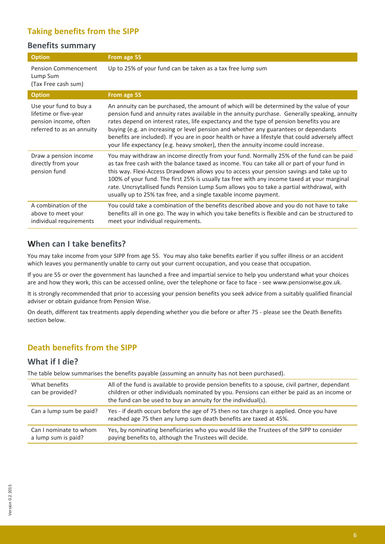# **Taking benefits from the SIPP**

#### **Benefits summary**

| <b>Option</b>                                                                                         | From age 55                                                                                                                                                                                                                                                                                                                                                                                                                                                                                                                                                             |
|-------------------------------------------------------------------------------------------------------|-------------------------------------------------------------------------------------------------------------------------------------------------------------------------------------------------------------------------------------------------------------------------------------------------------------------------------------------------------------------------------------------------------------------------------------------------------------------------------------------------------------------------------------------------------------------------|
| <b>Pension Commencement</b><br>Lump Sum<br>(Tax Free cash sum)                                        | Up to 25% of your fund can be taken as a tax free lump sum                                                                                                                                                                                                                                                                                                                                                                                                                                                                                                              |
| <b>Option</b>                                                                                         | From age 55                                                                                                                                                                                                                                                                                                                                                                                                                                                                                                                                                             |
| Use your fund to buy a<br>lifetime or five-year<br>pension income, often<br>referred to as an annuity | An annuity can be purchased, the amount of which will be determined by the value of your<br>pension fund and annuity rates available in the annuity purchase. Generally speaking, annuity<br>rates depend on interest rates, life expectancy and the type of pension benefits you are<br>buying (e.g. an increasing or level pension and whether any guarantees or dependants<br>benefits are included). If you are in poor health or have a lifestyle that could adversely affect<br>your life expectancy (e.g. heavy smoker), then the annuity income could increase. |
| Draw a pension income<br>directly from your<br>pension fund                                           | You may withdraw an income directly from your fund. Normally 25% of the fund can be paid<br>as tax free cash with the balance taxed as income. You can take all or part of your fund in<br>this way. Flexi-Access Drawdown allows you to access your pension savings and take up to<br>100% of your fund. The first 25% is usually tax free with any income taxed at your marginal<br>rate. Uncrsytallised funds Pension Lump Sum allows you to take a partial withdrawal, with<br>usually up to 25% tax free, and a single taxable income payment.                     |
| A combination of the<br>above to meet your<br>individual requirements                                 | You could take a combination of the benefits described above and you do not have to take<br>benefits all in one go. The way in which you take benefits is flexible and can be structured to<br>meet your individual requirements.                                                                                                                                                                                                                                                                                                                                       |

#### **When can I take benefits?**

You may take income from your SIPP from age 55. You may also take benefits earlier if you suffer illness or an accident which leaves you permanently unable to carry out your current occupation, and you cease that occupation.

If you are 55 or over the government has launched a free and impartial service to help you understand what your choices are and how they work, this can be accessed online, over the telephone or face to face - see www.pensionwise.gov.uk.

It is strongly recommended that prior to accessing your pension benefits you seek advice from a suitably qualified financial adviser or obtain guidance from Pension Wise.

On death, different tax treatments apply depending whether you die before or after 75 - please see the Death Benefits section below.

#### **Death benefits from the SIPP**

#### **What if I die?**

The table below summarises the benefits payable (assuming an annuity has not been purchased).

| What benefits<br>can be provided?             | All of the fund is available to provide pension benefits to a spouse, civil partner, dependant<br>children or other individuals nominated by you. Pensions can either be paid as an income or<br>the fund can be used to buy an annuity for the individual(s). |
|-----------------------------------------------|----------------------------------------------------------------------------------------------------------------------------------------------------------------------------------------------------------------------------------------------------------------|
| Can a lump sum be paid?                       | Yes - if death occurs before the age of 75 then no tax charge is applied. Once you have<br>reached age 75 then any lump sum death benefits are taxed at 45%.                                                                                                   |
| Can I nominate to whom<br>a lump sum is paid? | Yes, by nominating beneficiaries who you would like the Trustees of the SIPP to consider<br>paying benefits to, although the Trustees will decide.                                                                                                             |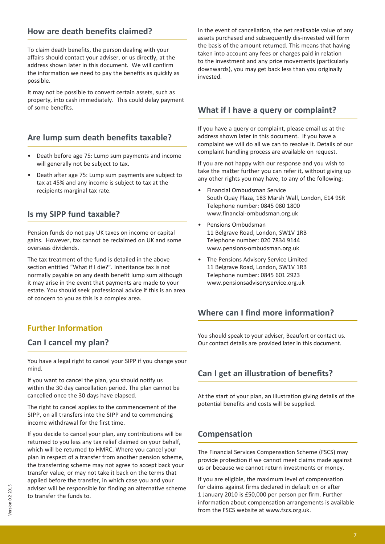#### **How are death benefits claimed?**

To claim death benefits, the person dealing with your affairs should contact your adviser, or us directly, at the address shown later in this document. We will confirm the information we need to pay the benefits as quickly as possible.

It may not be possible to convert certain assets, such as property, into cash immediately. This could delay payment of some benefits.

#### **Are lump sum death benefits taxable?**

- Death before age 75: Lump sum payments and income will generally not be subject to tax.
- Death after age 75: Lump sum payments are subject to tax at 45% and any income is subject to tax at the recipients marginal tax rate.

#### **Is my SIPP fund taxable?**

Pension funds do not pay UK taxes on income or capital gains. However, tax cannot be reclaimed on UK and some overseas dividends.

The tax treatment of the fund is detailed in the above section entitled "What if I die?". Inheritance tax is not normally payable on any death benefit lump sum although it may arise in the event that payments are made to your estate. You should seek professional advice if this is an area of concern to you as this is a complex area.

### **Further Information**

#### **Can I cancel my plan?**

You have a legal right to cancel your SIPP if you change your mind.

If you want to cancel the plan, you should notify us within the 30 day cancellation period. The plan cannot be cancelled once the 30 days have elapsed.

The right to cancel applies to the commencement of the SIPP, on all transfers into the SIPP and to commencing income withdrawal for the first time.

If you decide to cancel your plan, any contributions will be returned to you less any tax relief claimed on your behalf, which will be returned to HMRC. Where you cancel your plan in respect of a transfer from another pension scheme, the transferring scheme may not agree to accept back your transfer value, or may not take it back on the terms that applied before the transfer, in which case you and your adviser will be responsible for finding an alternative scheme to transfer the funds to.

In the event of cancellation, the net realisable value of any assets purchased and subsequently dis-invested will form the basis of the amount returned. This means that having taken into account any fees or charges paid in relation to the investment and any price movements (particularly downwards), you may get back less than you originally invested.

#### **What if I have a query or complaint?**

If you have a query or complaint, please email us at the address shown later in this document. If you have a complaint we will do all we can to resolve it. Details of our complaint handling process are available on request.

If you are not happy with our response and you wish to take the matter further you can refer it, without giving up any other rights you may have, to any of the following:

- Financial Ombudsman Service South Quay Plaza, 183 Marsh Wall, London, E14 9SR Telephone number: 0845 080 1800 www.financial-ombudsman.org.uk
- Pensions Ombudsman 11 Belgrave Road, London, SW1V 1RB Telephone number: 020 7834 9144 www.pensions-ombudsman.org.uk
- The Pensions Advisory Service Limited 11 Belgrave Road, London, SW1V 1RB Telephone number: 0845 601 2923 www.pensionsadvisoryservice.org.uk

#### **Where can I find more information?**

You should speak to your adviser, Beaufort or contact us. Our contact details are provided later in this document.

#### **Can I get an illustration of benefits?**

At the start of your plan, an illustration giving details of the potential benefits and costs will be supplied.

#### **Compensation**

The Financial Services Compensation Scheme (FSCS) may provide protection if we cannot meet claims made against us or because we cannot return investments or money.

If you are eligible, the maximum level of compensation for claims against firms declared in default on or after 1 January 2010 is £50,000 per person per firm. Further information about compensation arrangements is available from the FSCS website at www.fscs.org.uk.